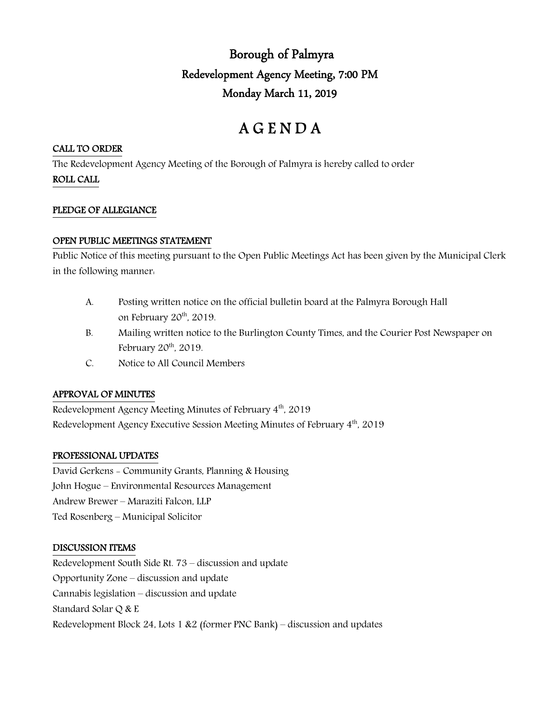## Borough of Palmyra Redevelopment Agency Meeting, 7:00 PM Monday March 11, 2019

# A G E N D A

#### CALL TO ORDER

The Redevelopment Agency Meeting of the Borough of Palmyra is hereby called to order

ROLL CALL

#### PLEDGE OF ALLEGIANCE

### OPEN PUBLIC MEETINGS STATEMENT

Public Notice of this meeting pursuant to the Open Public Meetings Act has been given by the Municipal Clerk in the following manner:

- A. Posting written notice on the official bulletin board at the Palmyra Borough Hall on February 20<sup>th</sup>, 2019.
- B. Mailing written notice to the Burlington County Times, and the Courier Post Newspaper on February  $20<sup>th</sup>$ ,  $2019$ .
- C. Notice to All Council Members

## APPROVAL OF MINUTES

Redevelopment Agency Meeting Minutes of February 4<sup>th</sup>, 2019 Redevelopment Agency Executive Session Meeting Minutes of February 4<sup>th</sup>, 2019

## PROFESSIONAL UPDATES

David Gerkens - Community Grants, Planning & Housing John Hogue – Environmental Resources Management Andrew Brewer – Maraziti Falcon, LLP Ted Rosenberg – Municipal Solicitor

## DISCUSSION ITEMS

Redevelopment South Side Rt. 73 – discussion and update Opportunity Zone – discussion and update Cannabis legislation – discussion and update Standard Solar Q & E Redevelopment Block 24, Lots 1 &2 (former PNC Bank) – discussion and updates